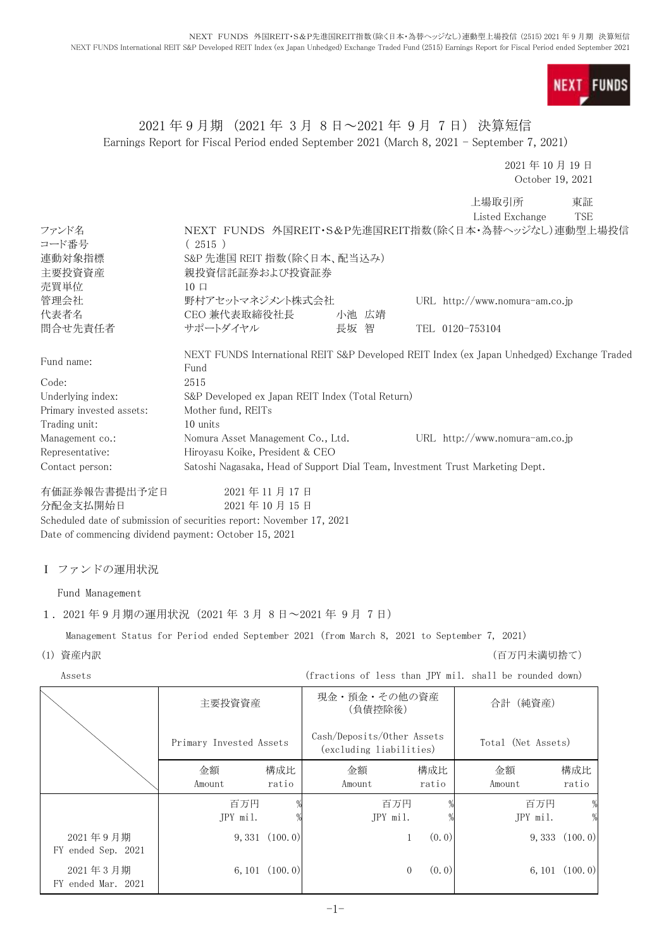**NEXT FIINDS** 

## 2021 年 9 月期 (2021 年 3 月 8 日~2021 年 9 月 7 日) 決算短信 Earnings Report for Fiscal Period ended September 2021 (March 8, 2021 - September 7, 2021)

2021 年 10 月 19 日 October 19, 2021

上場取引所 東証

|                          |                                                                                            |       | <b>TSE</b><br>Listed Exchange                       |  |  |
|--------------------------|--------------------------------------------------------------------------------------------|-------|-----------------------------------------------------|--|--|
| ファンド名                    |                                                                                            |       | NEXT FUNDS 外国REIT・S&P先進国REIT指数(除く日本・為替ヘッジなし)連動型上場投信 |  |  |
| コード番号                    | (2515)                                                                                     |       |                                                     |  |  |
| 連動対象指標                   | S&P 先進国 REIT 指数(除く日本、配当込み)                                                                 |       |                                                     |  |  |
| 主要投資資産                   | 親投資信託証券および投資証券                                                                             |       |                                                     |  |  |
| 売買単位                     | $10 \square$                                                                               |       |                                                     |  |  |
| 管理会社                     | 野村アセットマネジメント株式会社                                                                           |       | URL $http://www.nomura-am.co.jp$                    |  |  |
| 代表者名                     | CEO 兼代表取締役社長                                                                               | 小池 広靖 |                                                     |  |  |
| 問合せ先責任者                  | サポートダイヤル                                                                                   | 長坂 智  | TEL 0120-753104                                     |  |  |
|                          | NEXT FUNDS International REIT S&P Developed REIT Index (ex Japan Unhedged) Exchange Traded |       |                                                     |  |  |
| Fund name:               | Fund                                                                                       |       |                                                     |  |  |
| Code:                    | 2515                                                                                       |       |                                                     |  |  |
| Underlying index:        | S&P Developed ex Japan REIT Index (Total Return)                                           |       |                                                     |  |  |
| Primary invested assets: | Mother fund, REITs                                                                         |       |                                                     |  |  |
| Trading unit:            | 10 units                                                                                   |       |                                                     |  |  |
| Management co.:          | Nomura Asset Management Co., Ltd.                                                          |       | URL $http://www.nomura-am.co.jp$                    |  |  |
| Representative:          | Hiroyasu Koike, President & CEO                                                            |       |                                                     |  |  |
| Contact person:          | Satoshi Nagasaka, Head of Support Dial Team, Investment Trust Marketing Dept.              |       |                                                     |  |  |
| 有価証券報告書提出予定日             | 2021年11月17日                                                                                |       |                                                     |  |  |
| 分配金支払開始日                 | 2021年10月15日                                                                                |       |                                                     |  |  |

Scheduled date of submission of securities report: November 17, 2021 Date of commencing dividend payment: October 15, 2021

### Ⅰ ファンドの運用状況

Fund Management

1.2021 年 9 月期の運用状況(2021 年 3 月 8 日~2021 年 9 月 7 日)

Management Status for Period ended September 2021 (from March 8, 2021 to September 7, 2021)

(1) 資産内訳 (百万円未満切捨て)

Assets (fractions of less than JPY mil. shall be rounded down)

|                                | 主要投資資産                  |                     | 現金・預金・その他の資産<br>(負債控除後)                               |                    | 合計 (純資産)           |                    |
|--------------------------------|-------------------------|---------------------|-------------------------------------------------------|--------------------|--------------------|--------------------|
|                                | Primary Invested Assets |                     | Cash/Deposits/Other Assets<br>(excluding liabilities) |                    | Total (Net Assets) |                    |
|                                | 金額                      | 構成比                 | 金額                                                    | 構成比                | 金額                 | 構成比                |
|                                | Amount                  | ratio               | Amount                                                | ratio              | Amount             | ratio              |
|                                | 百万円                     |                     | 百万円                                                   |                    | 百万円                | %                  |
|                                | JPY mil.                |                     | JPY mil.                                              |                    | JPY mil.           |                    |
| 2021年9月期<br>FY ended Sep. 2021 |                         | $9,331$ $(100, 0)$  |                                                       | (0, 0)             |                    | $9,333$ $(100, 0)$ |
| 2021年3月期<br>FY ended Mar. 2021 |                         | $6, 101$ $(100, 0)$ |                                                       | (0, 0)<br>$\theta$ |                    | 6, 101 $(100.0)$   |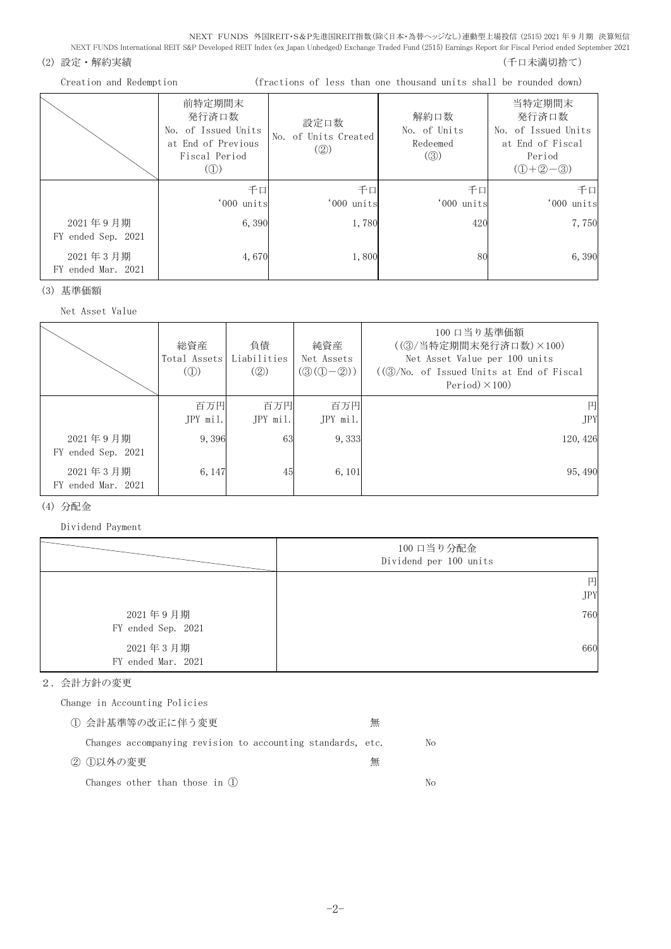- (2)設定・解約実績 いちょう しょうしょう しょうしょう しょうしゃ しんこうしょう しょうしゅん (千口未満切捨て)
	-

| (fractions of less than one thousand units shall be rounded down)<br>Creation and Redemption |                                                                                      |                                                              |                                                                 |                                                                                   |
|----------------------------------------------------------------------------------------------|--------------------------------------------------------------------------------------|--------------------------------------------------------------|-----------------------------------------------------------------|-----------------------------------------------------------------------------------|
|                                                                                              | 前特定期間末<br>発行済口数<br>No. of Issued Units<br>at End of Previous<br>Fiscal Period<br>(1) | 設定口数<br>No. of Units Created<br>$\left( \circled{2} \right)$ | 解約口数<br>No. of Units<br>Redeemed<br>$\left( \circled{3}\right)$ | 当特定期間末<br>発行済口数<br>No. of Issued Units<br>at End of Fiscal<br>Period<br>$(D+2-3)$ |
| 2021年9月期<br>FY ended Sep. 2021                                                               | 千口<br>'000 units<br>6,390                                                            | 千口<br>'000 units<br>1,780                                    | 千口<br>'000 units<br>420                                         | 千口<br>'000 units<br>7,750                                                         |
| 2021年3月期<br>FY ended Mar. 2021                                                               | 4,670                                                                                | 1,800                                                        | 80                                                              | 6,390                                                                             |

<sup>(3)</sup> 基準価額

Net Asset Value

| Net Asset value                |                                                  |                          |                                                             |                                                                                                                                                |
|--------------------------------|--------------------------------------------------|--------------------------|-------------------------------------------------------------|------------------------------------------------------------------------------------------------------------------------------------------------|
|                                | 総資産<br>Total Assets<br>$\mathcal{L}(\mathbb{D})$ | 負債<br>Liabilities<br>(Q) | 純資産<br>Net Assets<br>$(\mathcal{D}(\mathbb{O}-\mathbb{Q}))$ | 100 口当り基準価額<br>((③/当特定期間末発行済口数)×100)<br>Net Asset Value per 100 units<br>$((3)/N0$ . of Issued Units at End of Fiscal<br>Period $)\times$ 100) |
|                                | 百万円<br>JPY mil.                                  | 百万円<br>$JPY$ mil.        | 百万円<br>JPY mil.                                             | 円<br>JPY                                                                                                                                       |
| 2021年9月期<br>FY ended Sep. 2021 | 9,396                                            | 63                       | 9,333                                                       | 120, 426                                                                                                                                       |
| 2021年3月期<br>FY ended Mar. 2021 | 6, 147                                           | 45                       | 6, 101                                                      | 95, 490                                                                                                                                        |

### (4) 分配金

Dividend Payment

|                                | 100 口当り分配金<br>Dividend per 100 units |
|--------------------------------|--------------------------------------|
|                                | 円<br><b>JPY</b>                      |
| 2021年9月期<br>FY ended Sep. 2021 | 760                                  |
| 2021年3月期<br>FY ended Mar. 2021 | 660                                  |

### 2.会計方針の変更

Change in Accounting Policies

| ① 会計基準等の改正に伴う変更                                             | 無 |    |
|-------------------------------------------------------------|---|----|
| Changes accompanying revision to accounting standards, etc. |   | No |
| ② ①以外の変更                                                    | 無 |    |
| Changes other than those in $(l)$                           |   | Nο |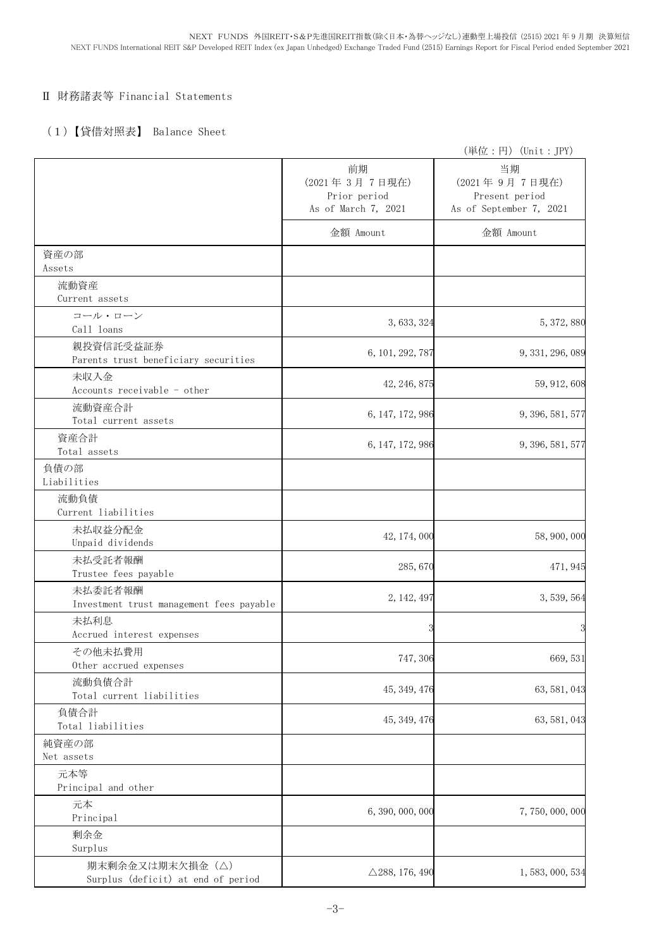### Ⅱ 財務諸表等 Financial Statements

# (1)【貸借対照表】 Balance Sheet

|                                                        |                                                            | (単位:円) (Unit: JPY)                                               |
|--------------------------------------------------------|------------------------------------------------------------|------------------------------------------------------------------|
|                                                        | 前期<br>(2021年3月7日現在)<br>Prior period<br>As of March 7, 2021 | 当期<br>(2021年9月7日現在)<br>Present period<br>As of September 7, 2021 |
|                                                        | 金額 Amount                                                  | 金額 Amount                                                        |
| 資産の部<br>Assets                                         |                                                            |                                                                  |
| 流動資産                                                   |                                                            |                                                                  |
| Current assets                                         |                                                            |                                                                  |
| コール・ローン                                                |                                                            |                                                                  |
| Call loans                                             | 3, 633, 324                                                | 5, 372, 880                                                      |
| 親投資信託受益証券<br>Parents trust beneficiary securities      | 6, 101, 292, 787                                           | 9, 331, 296, 089                                                 |
| 未収入金<br>Accounts receivable - other                    | 42, 246, 875                                               | 59, 912, 608                                                     |
| 流動資産合計<br>Total current assets                         | 6, 147, 172, 986                                           | 9, 396, 581, 577                                                 |
| 資産合計<br>Total assets                                   | 6, 147, 172, 986                                           | 9, 396, 581, 577                                                 |
| 負債の部<br>Liabilities                                    |                                                            |                                                                  |
| 流動負債<br>Current liabilities                            |                                                            |                                                                  |
| 未払収益分配金<br>Unpaid dividends                            | 42, 174, 000                                               | 58, 900, 000                                                     |
| 未払受託者報酬<br>Trustee fees payable                        | 285, 670                                                   | 471, 945                                                         |
| 未払委託者報酬<br>Investment trust management fees payable    | 2, 142, 497                                                | 3, 539, 564                                                      |
| 未払利息<br>Accrued interest expenses                      |                                                            |                                                                  |
| その他未払費用<br>Other accrued expenses                      | 747, 306                                                   | 669,531                                                          |
| 流動負債合計<br>Total current liabilities                    | 45, 349, 476                                               | 63, 581, 043                                                     |
| 負債合計<br>Total liabilities                              | 45, 349, 476                                               | 63, 581, 043                                                     |
| 純資産の部<br>Net assets                                    |                                                            |                                                                  |
| 元本等<br>Principal and other                             |                                                            |                                                                  |
| 元本<br>Principal                                        | 6, 390, 000, 000                                           | 7,750,000,000                                                    |
| 剰余金<br>Surplus                                         |                                                            |                                                                  |
| 期末剰余金又は期末欠損金 (△)<br>Surplus (deficit) at end of period | $\triangle$ 288, 176, 490                                  | 1, 583, 000, 534                                                 |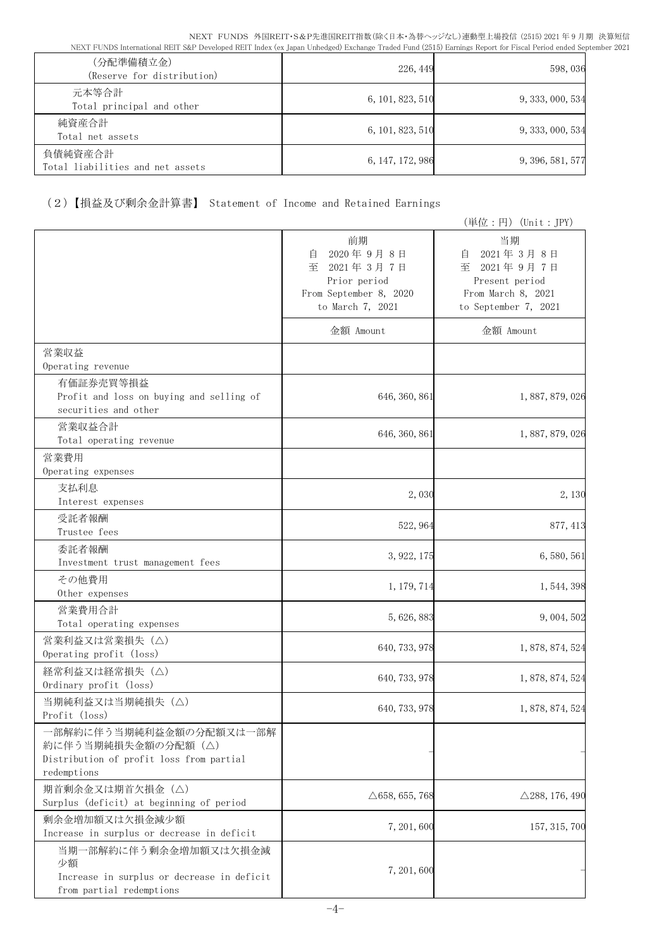NEXT FUNDS 外国REIT・S&P先進国REIT指数(除く日本・為替ヘッジなし)連動型上場投信 (2515) 2021 年 9 月期 決算短信 NEXT FUNDS International REIT S&P Developed REIT Index (ex Japan Unhedged) Exchange Traded Fund (2515) Earnings Report for Fiscal Period ended September 2021

| (分配準備積立金)<br>(Reserve for distribution)     | 226, 449         | 598,036          |
|---------------------------------------------|------------------|------------------|
| 元本等合計<br>Total principal and other          | 6, 101, 823, 510 | 9, 333, 000, 534 |
| 純資産合計<br>Total net assets                   | 6, 101, 823, 510 | 9, 333, 000, 534 |
| 負債純資産合計<br>Total liabilities and net assets | 6, 147, 172, 986 | 9, 396, 581, 577 |

(2)【損益及び剰余金計算書】 Statement of Income and Retained Earnings

|                                                                                                           |                                                                                                      | (単位:円) (Unit:JPY)                                                                                      |
|-----------------------------------------------------------------------------------------------------------|------------------------------------------------------------------------------------------------------|--------------------------------------------------------------------------------------------------------|
|                                                                                                           | 前期<br>2020年9月8日<br>自<br>至<br>2021年3月7日<br>Prior period<br>From September 8, 2020<br>to March 7, 2021 | 当期<br>2021年3月8日<br>自<br>至<br>2021年9月7日<br>Present period<br>From March 8, 2021<br>to September 7, 2021 |
|                                                                                                           | 金額 Amount                                                                                            | 金額 Amount                                                                                              |
| 営業収益<br>Operating revenue                                                                                 |                                                                                                      |                                                                                                        |
| 有価証券売買等損益<br>Profit and loss on buying and selling of<br>securities and other                             | 646, 360, 861                                                                                        | 1, 887, 879, 026                                                                                       |
| 営業収益合計<br>Total operating revenue                                                                         | 646, 360, 861                                                                                        | 1, 887, 879, 026                                                                                       |
| 営業費用<br>Operating expenses                                                                                |                                                                                                      |                                                                                                        |
| 支払利息<br>Interest expenses                                                                                 | 2,030                                                                                                | 2,130                                                                                                  |
| 受託者報酬<br>Trustee fees                                                                                     | 522, 964                                                                                             | 877, 413                                                                                               |
| 委託者報酬<br>Investment trust management fees                                                                 | 3, 922, 175                                                                                          | 6,580,561                                                                                              |
| その他費用<br>Other expenses                                                                                   | 1, 179, 714                                                                                          | 1, 544, 398                                                                                            |
| 営業費用合計<br>Total operating expenses                                                                        | 5, 626, 883                                                                                          | 9, 004, 502                                                                                            |
| 営業利益又は営業損失(△)<br>Operating profit (loss)                                                                  | 640, 733, 978                                                                                        | 1, 878, 874, 524                                                                                       |
| 経常利益又は経常損失 (△)<br>Ordinary profit (loss)                                                                  | 640, 733, 978                                                                                        | 1, 878, 874, 524                                                                                       |
| 当期純利益又は当期純損失 (△)<br>Profit (loss)                                                                         | 640, 733, 978                                                                                        | 1, 878, 874, 524                                                                                       |
| 一部解約に伴う当期純利益金額の分配額又は一部解<br>約に伴う当期純損失金額の分配額 (△)<br>Distribution of profit loss from partial<br>redemptions |                                                                                                      |                                                                                                        |
| 期首剰余金又は期首欠損金 (△)<br>Surplus (deficit) at beginning of period                                              | $\triangle$ 658, 655, 768                                                                            | $\triangle$ 288, 176, 490                                                                              |
| 剰余金増加額又は欠損金減少額<br>Increase in surplus or decrease in deficit                                              | 7, 201, 600                                                                                          | 157, 315, 700                                                                                          |
| 当期一部解約に伴う剰余金増加額又は欠損金減<br>少額<br>Increase in surplus or decrease in deficit<br>from partial redemptions     | 7, 201, 600                                                                                          |                                                                                                        |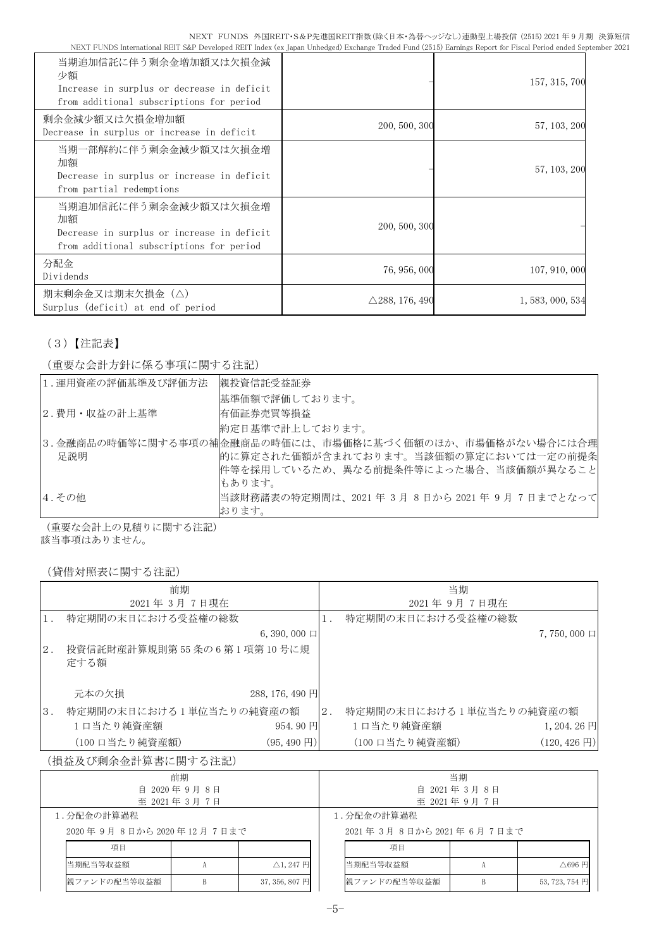| 当期追加信託に伴う剰余金増加額又は欠損金減<br>少額<br>Increase in surplus or decrease in deficit<br>from additional subscriptions for period |                           | 157, 315, 700    |
|-----------------------------------------------------------------------------------------------------------------------|---------------------------|------------------|
| 剰余金減少額又は欠損金増加額<br>Decrease in surplus or increase in deficit                                                          | 200, 500, 300             | 57, 103, 200     |
| 当期一部解約に伴う剰余金減少額又は欠損金増<br>加額<br>Decrease in surplus or increase in deficit<br>from partial redemptions                 |                           | 57, 103, 200     |
| 当期追加信託に伴う剰余金減少額又は欠損金増<br>加額<br>Decrease in surplus or increase in deficit<br>from additional subscriptions for period | 200, 500, 300             |                  |
| 分配金<br>Dividends                                                                                                      | 76, 956, 000              | 107, 910, 000    |
| 期末剰余金又は期末欠損金(△)<br>Surplus (deficit) at end of period                                                                 | $\triangle$ 288, 176, 490 | 1, 583, 000, 534 |

# (3)【注記表】

## (重要な会計方針に係る事項に関する注記)

| 1. 運用資産の評価基準及び評価方法 | 親投資信託受益証券                                                |
|--------------------|----------------------------------------------------------|
|                    | 基準価額で評価しております。                                           |
| 2.費用・収益の計上基準       | 有価証券売買等損益                                                |
|                    | 約定日基準で計上しております。                                          |
|                    | 3. 金融商品の時価等に関する事項の補金融商品の時価には、市場価格に基づく価額のほか、市場価格がない場合には合理 |
| 足説明                | 的に算定された価額が含まれております。当該価額の算定においては一定の前提条                    |
|                    | 件等を採用しているため、異なる前提条件等によった場合、当該価額が異なること                    |
|                    | もあります。                                                   |
| 4.その他              | 当該財務諸表の特定期間は、2021年3月8日から2021年9月7日までとなって                  |
|                    | おります。                                                    |

(重要な会計上の見積りに関する注記) 該当事項はありません。

(貸借対照表に関する注記)

|    | 前期                                       |    | 当期                      |                          |
|----|------------------------------------------|----|-------------------------|--------------------------|
|    | 2021年3月7日現在                              |    | 2021年9月7日現在             |                          |
|    | 特定期間の末日における受益権の総数                        |    | 特定期間の末日における受益権の総数       |                          |
|    | $6, 390, 000 \Box$                       |    |                         | $7,750,000$ $\Box$       |
| 2. | 投資信託財産計算規則第55条の6第1項第10号に規<br>定する額        |    |                         |                          |
|    | 288, 176, 490 円<br>元本の欠損                 |    |                         |                          |
| 3. | 特定期間の末日における1単位当たりの純資産の額                  | 2. | 特定期間の末日における1単位当たりの純資産の額 |                          |
|    | 1口当たり純資産額<br>$954.90 \text{ H}$          |    | 1口当たり純資産額               | $1,204.26 \,\boxtimes$   |
|    | (100 口当たり純資産額)<br>$(95, 490 \,\boxplus)$ |    | (100 口当たり純資産額)          | $(120, 426 \,\boxtimes)$ |

### (損益及び剰余金計算書に関する注記)

| 前期<br>自 2020年9月8日<br>至 2021年3月7日 |   |                                 |  | 当期<br>自 2021年3月8日<br>至 2021年9月7日 |  |                  |
|----------------------------------|---|---------------------------------|--|----------------------------------|--|------------------|
| 1.分配金の計算過程                       |   |                                 |  | 1. 分配金の計算過程                      |  |                  |
| 2020年9月8日から2020年12月7日まで          |   | 2021年3月8日から2021年6月7日まで          |  |                                  |  |                  |
| 項目                               |   |                                 |  | 項目                               |  |                  |
| 当期配当等収益額                         |   | $\triangle$ 1, 247 $\mathbb{H}$ |  | 当期配当等収益額                         |  | $\triangle$ 696円 |
| 親ファンドの配当等収益額                     | B | 37, 356, 807 円                  |  | 親ファンドの配当等収益額                     |  | 53, 723, 754 円   |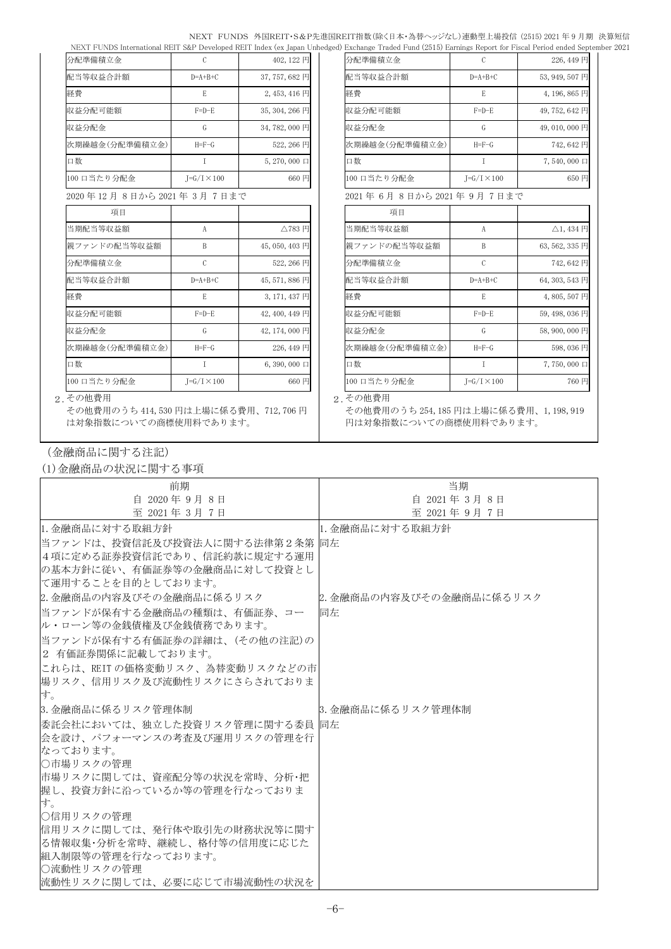| NEXT FUNDS 外国REIT·S&P先進国REIT指数(除く日本・為替ヘッジなし)連動型上場投信 (2515) 2021 年 9 月期 決算短信                                                                                   |  |
|---------------------------------------------------------------------------------------------------------------------------------------------------------------|--|
| NEXT FUNDS International REIT S&P Developed REIT Index (ex Japan Unhedged) Exchange Traded Fund (2515) Earnings Report for Fiscal Period ended September 2021 |  |

|                         |                      |                              | NEXT FUNDS International REIT S&P Developed REIT Index (ex Japan Unhedged) Exchange Traded Fund (2515) Earnings Report for Fiscal Period ended Sep |                      |                           |
|-------------------------|----------------------|------------------------------|----------------------------------------------------------------------------------------------------------------------------------------------------|----------------------|---------------------------|
| 分配準備積立金                 | $\mathcal{C}$        | 402, 122 円                   | 分配準備積立金                                                                                                                                            | $\mathcal{C}$        | 226,449円                  |
| 配当等収益合計額                | $D=A+B+C$            | 37,757,682円                  | 配当等収益合計額                                                                                                                                           | $D=A+B+C$            | 53, 949, 507 円            |
| 経費                      | E                    | 2,453,416円                   | 経費                                                                                                                                                 | E.                   | 4,196,865円                |
| 収益分配可能額                 | $F=D-E$              | 35, 304, 266 円               | 収益分配可能額                                                                                                                                            | $F=D-E$              | 49,752,642円               |
| 収益分配金                   | G                    | 34,782,000円                  | 収益分配金                                                                                                                                              | G                    | 49,010,000円               |
| 次期繰越金(分配準備積立金)          | $H = F - G$          | 522, 266 円                   | 次期繰越金(分配準備積立金)                                                                                                                                     | $H = F - G$          | 742,642 円                 |
| 口数                      | $\mathsf{T}$         | $5,270,000 \square$          | 口数                                                                                                                                                 | $\mathsf{T}$         | 7,540,000 $\Box$          |
| 100 口当たり分配金             | $J = G/I \times 100$ | 660円                         | 100 口当たり分配金                                                                                                                                        | $J = G/I \times 100$ | 650円                      |
| 2020年12月8日から2021年3月7日まで |                      |                              | 2021年6月8日から2021年9月7日まで                                                                                                                             |                      |                           |
| 項目                      |                      |                              | 項目                                                                                                                                                 |                      |                           |
| 当期配当等収益額                | A                    | $\triangle$ 783 $\mathsf{H}$ | 当期配当等収益額                                                                                                                                           | A                    | $\triangle$ 1, 434 $\Box$ |
| 親ファンドの配当等収益額            | B                    | 45,050,403円                  | 親ファンドの配当等収益額                                                                                                                                       | B                    | 63, 562, 335 円            |
| 分配準備積立金                 | $\mathcal{C}$        | 522, 266 円                   | 分配準備積立金                                                                                                                                            | $\mathcal{C}$        | 742,642円                  |
| 配当等収益合計額                | $D=A+B+C$            | 45,571,886円                  | 配当等収益合計額                                                                                                                                           | $D=A+B+C$            | 64, 303, 543 円            |
| 経費                      | E                    | 3,171,437円                   | 経費                                                                                                                                                 | E                    | 4,805,507円                |
| 収益分配可能額                 | $F=D-E$              | 42, 400, 449 円               | 収益分配可能額                                                                                                                                            | $F=D-E$              | 59, 498, 036 円            |
| 収益分配金                   | $\mathcal{G}$        | 42, 174, 000 円               | 収益分配金                                                                                                                                              | G                    | 58,900,000円               |
| 次期繰越金(分配準備積立金)          | $H = F - G$          | 226, 449 円                   | 次期繰越金(分配準備積立金)                                                                                                                                     | $H = F - G$          | 598,036円                  |
| 口数                      | T                    | $6, 390, 000 \Box$           | 口数                                                                                                                                                 | I                    | $7,750,000 \square$       |
| 100 口当たり分配金             | $I = G/I \times 100$ | 660 円                        | 100 口当たり分配金                                                                                                                                        | $I = G/I \times 100$ | 760円                      |
| 2. その他費用                |                      |                              | 2. その他費用                                                                                                                                           |                      |                           |

| 配当等収益合計額               | $D=A+B+C$                 | 53, 949, 507 円            |
|------------------------|---------------------------|---------------------------|
| 経費                     | E                         | 4, 196, 865 円             |
| 収益分配可能額                | $F=D-E$                   | 49, 752, 642 円            |
| 収益分配金                  | G                         | 49,010,000円               |
| 次期繰越金(分配準備積立金)         | $H = F - G$               | 742,642円                  |
| 口数                     | I                         | 7,540,000 口               |
| 100 口当たり分配金            | $J=$ G $/$ I $\times$ 100 | 650円                      |
| 2021年6月8日から2021年9月7日まで |                           |                           |
| 項目                     |                           |                           |
| 当期配当等収益額               | A                         | $\triangle$ 1, 434 $\Box$ |
| 親ファンドの配当等収益額           | B                         | 63, 562, 335 円            |
| 分配準備積立金                | C                         | 742,642円                  |
| 配当等収益合計額               | $D=A+B+C$                 | 64, 303, 543 円            |
| 経費                     | E                         | 4,805,507円                |
| 収益分配可能額                | $F=D-E$                   | 59,498,036円               |
| 収益分配金                  | G                         | 58,900,000円               |
| 次期繰越金(分配準備積立金)         | $H = F - G$               | 598,036円                  |
| 口数                     | T                         | 7,750,000 口               |
| 100 口当たり分配金            | $J=$ G $/$ I $\times$ 100 | 760円                      |
| .その他費用                 |                           |                           |

その他費用のうち 414,530 円は上場に係る費用、712,706 円 は対象指数についての商標使用料であります。

その他費用のうち 254,185 円は上場に係る費用、1,198,919 円は対象指数についての商標使用料であります。

(金融商品に関する注記)

(1)金融商品の状況に関する事項

| 前期                               | 当期                       |
|----------------------------------|--------------------------|
| 自 2020年9月8日                      | 自 2021年3月8日              |
| 至 2021年3月7日                      | 至 2021年9月7日              |
| 1. 金融商品に対する取組方針                  | 1. 金融商品に対する取組方針          |
| 当ファンドは、投資信託及び投資法人に関する法律第2条第  同左  |                          |
| 4項に定める証券投資信託であり、信託約款に規定する運用      |                          |
| の基本方針に従い、有価証券等の金融商品に対して投資とし      |                          |
| で運用することを目的としております。               |                          |
| 2. 金融商品の内容及びその金融商品に係るリスク         | 2. 金融商品の内容及びその金融商品に係るリスク |
| 当ファンドが保有する金融商品の種類は、有価証券、コー       | 同左                       |
| ル・ローン等の金銭債権及び金銭債務であります。          |                          |
| 当ファンドが保有する有価証券の詳細は、(その他の注記)の     |                          |
| 2 有価証券関係に記載しております。               |                          |
| これらは、REIT の価格変動リスク、為替変動リスクなどの市   |                          |
| 場リスク、信用リスク及び流動性リスクにさらされておりま      |                          |
| す。                               |                          |
| 3.金融商品に係るリスク管理体制                 | 3. 金融商品に係るリスク管理体制        |
| 委託会社においては、独立した投資リスク管理に関する委員   同左 |                          |
| 会を設け、パフォーマンスの考査及び運用リスクの管理を行      |                          |
| なっております。                         |                          |
| ○市場リスクの管理                        |                          |
| 市場リスクに関しては、資産配分等の状況を常時、分析・把      |                          |
| 握し、投資方針に沿っているか等の管理を行なっておりま       |                          |
| す。                               |                          |
| ○信用リスクの管理                        |                          |
| 信用リスクに関しては、発行体や取引先の財務状況等に関す      |                          |
| る情報収集・分析を常時、継続し、格付等の信用度に応じた      |                          |
| 組入制限等の管理を行なっております。               |                          |
| ○流動性リスクの管理                       |                          |
| 流動性リスクに関しては、必要に応じて市場流動性の状況を      |                          |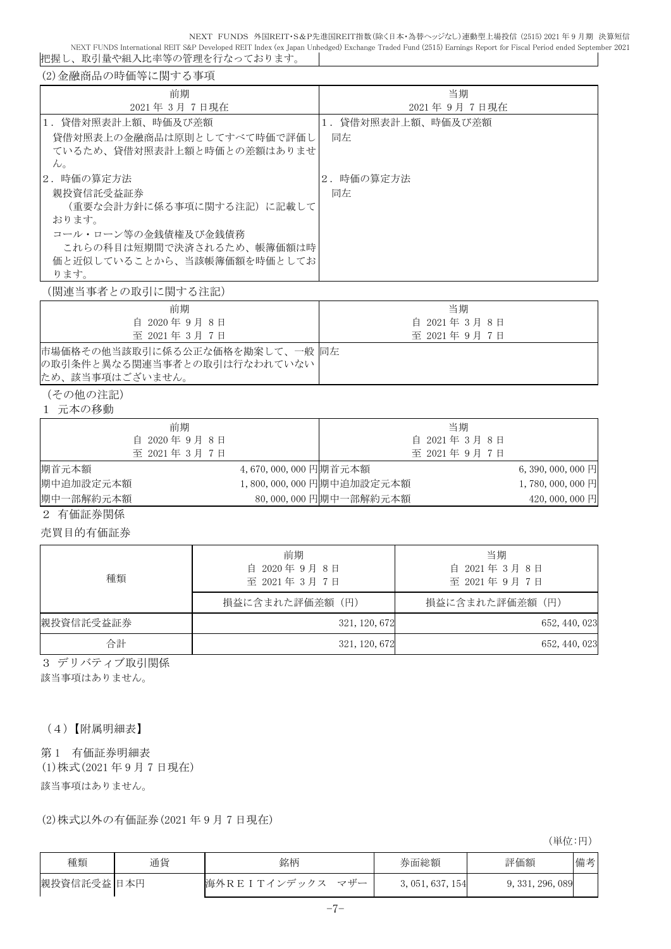NEXT FUNDS 外国REIT・S&P先進国REIT指数(除く日本・為替ヘッジなし)連動型上場投信 (2515) 2021 年 9 月期 決算短信 NEXT FUNDS International REIT S&P Developed REIT Index (ex Japan Unhedged) Exchange Traded Fund (2515) Earnings Report for Fiscal Period ended September 2021

| 把握し、取引量や組入比率等の管理を行なっております。 |  |
|----------------------------|--|
| (9) 今駎帝旦 の時価竿に開ナス車佰        |  |

| \4ノ並뾊間面ソノ吋1Ⅲ守に 判 9 Q 肀枳    |                   |
|----------------------------|-------------------|
| 前期                         | 当期                |
| 2021年 3月 7日現在              | 2021年9月7日現在       |
| 1.貸借対照表計上額、時価及び差額          | 1.貸借対照表計上額、時価及び差額 |
| 貸借対照表上の金融商品は原則としてすべて時価で評価し | 同左                |
| ているため、貸借対照表計上額と時価との差額はありませ |                   |
| $\mathcal{W}_\alpha$       |                   |
| 2.時価の算定方法                  | 2. 時価の算定方法        |
| 親投資信託受益証券                  | 同左                |
| (重要な会計方針に係る事項に関する注記)に記載して  |                   |
| おります。                      |                   |
| コール・ローン等の金銭債権及び金銭債務        |                   |
| これらの科目は短期間で決済されるため、帳簿価額は時  |                   |
| 価と近似していることから、当該帳簿価額を時価としてお |                   |
| ります。                       |                   |

(関連当事者との取引に関する注記)

| 前期                                                                              | 当期          |
|---------------------------------------------------------------------------------|-------------|
| 自 2020年9月8日                                                                     | 自 2021年3月8日 |
| 至 2021年3月7日                                                                     | 至 2021年9月7日 |
| 市場価格その他当該取引に係る公正な価格を勘案して、一般同左<br>の取引条件と異なる関連当事者との取引は行なわれていない<br>ため、該当事項はございません。 |             |

(その他の注記)

1 元本の移動

| 前期            |                      |                          | 当期          |                      |
|---------------|----------------------|--------------------------|-------------|----------------------|
| 自 2020年9月8日   |                      |                          | 自 2021年3月8日 |                      |
| 至 2021年 3月 7日 |                      |                          | 至 2021年9月7日 |                      |
| 期首元本額         | 4,670,000,000 円期首元本額 |                          |             | $6, 390, 000, 000$ 円 |
| 期中追加設定元本額     |                      | 1,800,000,000 円期中追加設定元本額 |             | $1,780,000,000$ 円    |
| 期中一部解約元本額     |                      | 80,000,000 円期中一部解約元本額    |             | $420,000,000$ 円      |

2 有価証券関係

売買目的有価証券

| 種類        | 前期<br>自 2020年9月8日<br>至 2021年3月7日 | 当期<br>自 2021年3月8日<br>至 2021年9月7日 |
|-----------|----------------------------------|----------------------------------|
|           | 損益に含まれた評価差額(円)                   | 損益に含まれた評価差額(円)                   |
| 親投資信託受益証券 | 321, 120, 672                    | 652, 440, 023                    |
| 合計        | 321, 120, 672                    | 652, 440, 023                    |

3 デリバティブ取引関係

該当事項はありません。

(4)【附属明細表】

第 1 有価証券明細表 (1)株式(2021 年 9 月 7 日現在) 該当事項はありません。

(2)株式以外の有価証券(2021 年 9 月 7 日現在)

(単位:円)

| 種類         | 通貨 | 銘柄                  | 券面総額        | 評価額              | 備考 |
|------------|----|---------------------|-------------|------------------|----|
| 親投資信託受益日本円 |    | マザー<br>海外REITインデックス | 051,637,154 | 9, 331, 296, 089 |    |